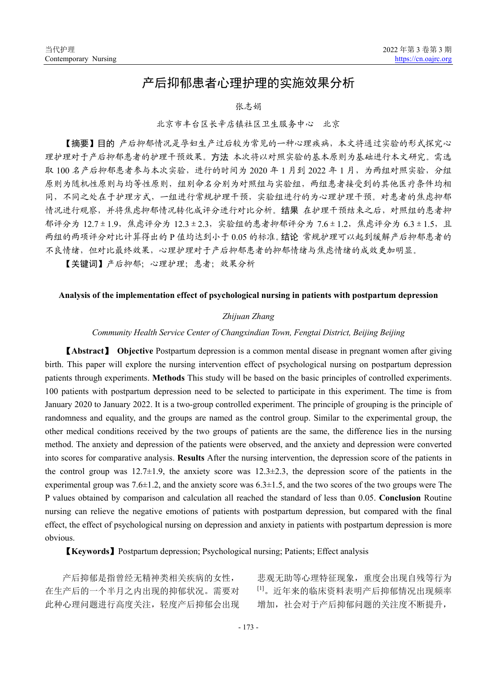# 产后抑郁患者心理护理的实施效果分析

#### 张志娟

## 北京市丰台区长辛店镇社区卫生服务中心 北京

【摘要】目的 产后抑郁情况是孕妇生产过后较为常见的一种心理疾病,本文将通过实验的形式探究心 理护理对于产后抑郁患者的护理干预效果。方法 本次将以对照实验的基本原则为基础进行本文研究。需选 取 100 名产后抑郁患者参与本次实验,进行的时间为 2020 年 1 月到 2022 年 1 月, 为两组对照实验, 分组 原则为随机性原则与均等性原则,组别命名分别为对照组与实验组,两组患者接受到的其他医疗条件均相 同,不同之处在于护理方式,一组进行常规护理干预,实验组进行的为心理护理干预。对患者的焦虑抑郁 情况进行观察,并将焦虑抑郁情况转化成评分进行对比分析。结果 在护理干预结束之后,对照组的患者抑 郁评分为 12.7±1.9,焦虑评分为 12.3±2.3,实验组的患者抑郁评分为 7.6±1.2,焦虑评分为 6.3±1.5,且 两组的两项评分对比计算得出的 P 值均达到小于 0.05 的标准。结论 常规护理可以起到缓解产后抑郁患者的 不良情绪,但对比最终效果,心理护理对于产后抑郁患者的抑郁情绪与焦虑情绪的成效更加明显。

【关键词】产后抑郁;心理护理;患者;效果分析

#### **Analysis of the implementation effect of psychological nursing in patients with postpartum depression**

### *Zhijuan Zhang*

#### *Community Health Service Center of Changxindian Town, Fengtai District, Beijing Beijing*

【**Abstract**】 **Objective** Postpartum depression is a common mental disease in pregnant women after giving birth. This paper will explore the nursing intervention effect of psychological nursing on postpartum depression patients through experiments. **Methods** This study will be based on the basic principles of controlled experiments. 100 patients with postpartum depression need to be selected to participate in this experiment. The time is from January 2020 to January 2022. It is a two-group controlled experiment. The principle of grouping is the principle of randomness and equality, and the groups are named as the control group. Similar to the experimental group, the other medical conditions received by the two groups of patients are the same, the difference lies in the nursing method. The anxiety and depression of the patients were observed, and the anxiety and depression were converted into scores for comparative analysis. **Results** After the nursing intervention, the depression score of the patients in the control group was  $12.7\pm1.9$ , the anxiety score was  $12.3\pm2.3$ , the depression score of the patients in the experimental group was 7.6 $\pm$ 1.2, and the anxiety score was 6.3 $\pm$ 1.5, and the two scores of the two groups were The P values obtained by comparison and calculation all reached the standard of less than 0.05. **Conclusion** Routine nursing can relieve the negative emotions of patients with postpartum depression, but compared with the final effect, the effect of psychological nursing on depression and anxiety in patients with postpartum depression is more obvious.

【**Keywords**】Postpartum depression; Psychological nursing; Patients; Effect analysis

产后抑郁是指曾经无精神类相关疾病的女性, 在生产后的一个半月之内出现的抑郁状况。需要对 此种心理问题进行高度关注,轻度产后抑郁会出现 悲观无助等心理特征现象,重度会出现自残等行为 [1]。近年来的临床资料表明产后抑郁情况出现频率 增加,社会对于产后抑郁问题的关注度不断提升,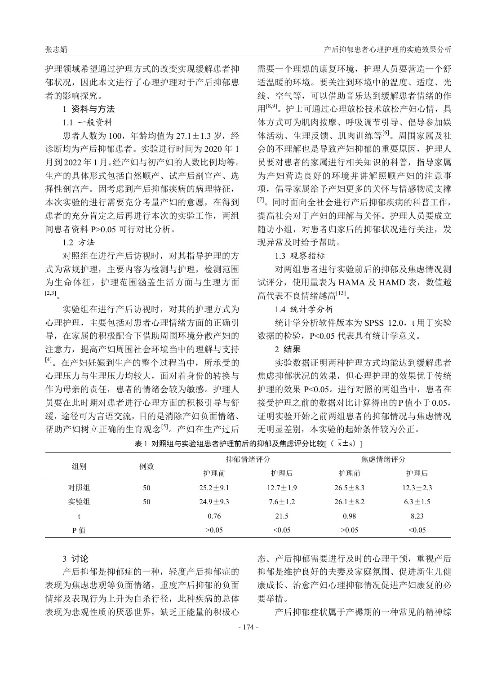护理领域希望通过护理方式的改变实现缓解患者抑 郁状况,因此本文进行了心理护理对于产后抑郁患 者的影响探究。

### 1 资料与方法

#### 1.1 一般资料

患者人数为 100, 年龄均值为 27.1±1.3 岁, 经 诊断均为产后抑郁患者。实验进行时间为 2020 年 1 月到 2022 年 1 月。经产妇与初产妇的人数比例均等。 生产的具体形式包括自然顺产、试产后剖宫产、选 择性剖宫产。因考虑到产后抑郁疾病的病理特征, 本次实验的进行需要充分考量产妇的意愿,在得到 患者的充分肯定之后再进行本次的实验工作,两组 间患者资料 P>0.05 可行对比分析。

# 1.2 方法

对照组在进行产后访视时,对其指导护理的方 式为常规护理,主要内容为检测与护理,检测范围 为生命体征,护理范围涵盖生活方面与生理方面  $[2,3]$ 

实验组在进行产后访视时,对其的护理方式为 心理护理,主要包括对患者心理情绪方面的正确引 导,在家属的积极配合下借助周围环境分散产妇的 注意力,提高产妇周围社会环境当中的理解与支持 [4]。在产妇妊娠到生产的整个过程当中,所承受的 心理压力与生理压力均较大,面对着身份的转换与 作为母亲的责任,患者的情绪会较为敏感。护理人 员要在此时期对患者进行心理方面的积极引导与舒 缓,途径可为言语交流,目的是消除产妇负面情绪、 帮助产妇树立正确的生育观念[5]。产妇在生产过后 需要一个理想的康复环境,护理人员要营造一个舒 适温暖的环境。要关注到环境中的温度、适度、光 线、空气等,可以借助音乐达到缓解患者情绪的作 用[8,9]。护士可通过心理放松技术放松产妇心情,具 体方式可为肌肉按摩、呼吸调节引导、倡导参加娱 体活动、生理反馈、肌肉训练等<sup>[6]</sup>。周围家属及社 会的不理解也是导致产妇抑郁的重要原因,护理人 员要对患者的家属进行相关知识的科普,指导家属 为产妇营造良好的环境并讲解照顾产妇的注意事 项,倡导家属给予产妇更多的关怀与情感物质支撑 <sup>[7]</sup>。同时面向全社会进行产后抑郁疾病的科普工作, 提高社会对于产妇的理解与关怀。护理人员要成立 随访小组,对患者归家后的抑郁状况进行关注,发 现异常及时给予帮助。

#### 1.3 观察指标

对两组患者进行实验前后的抑郁及焦虑情况测 试评分,使用量表为 HAMA 及 HAMD 表,数值越 高代表不良情绪越高[13]。

### 1.4 统计学分析

统计学分析软件版本为 SPSS 12.0, t 用于实验 数据的检验,P<0.05 代表具有统计学意义。

## 2 结果

实验数据证明两种护理方式均能达到缓解患者 焦虑抑郁状况的效果,但心理护理的效果优于传统 护理的效果 P<0.05。进行对照的两组当中,患者在 接受护理之前的数据对比计算得出的P值小于0.05, 证明实验开始之前两组患者的抑郁情况与焦虑情况 无明显差别,本实验的起始条件较为公正。

表 1 对照组与实验组患者护理前后的抑郁及焦虑评分比较 $[$  ( $\bar{x}$ ±s)]

| 组别  | 例数 | 抑郁情绪评分       |                | 焦虑情绪评分         |               |
|-----|----|--------------|----------------|----------------|---------------|
|     |    | 护理前          | 护理后            | 护理前            | 护理后           |
| 对照组 | 50 | $25.2 + 9.1$ | $12.7 \pm 1.9$ | $26.5 \pm 8.3$ | $12.3 + 2.3$  |
| 实验组 | 50 | $24.9 + 9.3$ | $7.6 + 1.2$    | $26.1 + 8.2$   | $6.3 \pm 1.5$ |
|     |    | 0.76         | 21.5           | 0.98           | 8.23          |
| P值  |    | >0.05        | < 0.05         | >0.05          | < 0.05        |

#### 3 讨论

产后抑郁是抑郁症的一种,轻度产后抑郁症的 表现为焦虑悲观等负面情绪,重度产后抑郁的负面 情绪及表现行为上升为自杀行径,此种疾病的总体 表现为悲观性质的厌恶世界,缺乏正能量的积极心 态。产后抑郁需要进行及时的心理干预,重视产后 抑郁是维护良好的夫妻及家庭氛围、促进新生儿健 康成长、治愈产妇心理抑郁情况促进产妇康复的必 要举措。

产后抑郁症状属于产褥期的一种常见的精神综